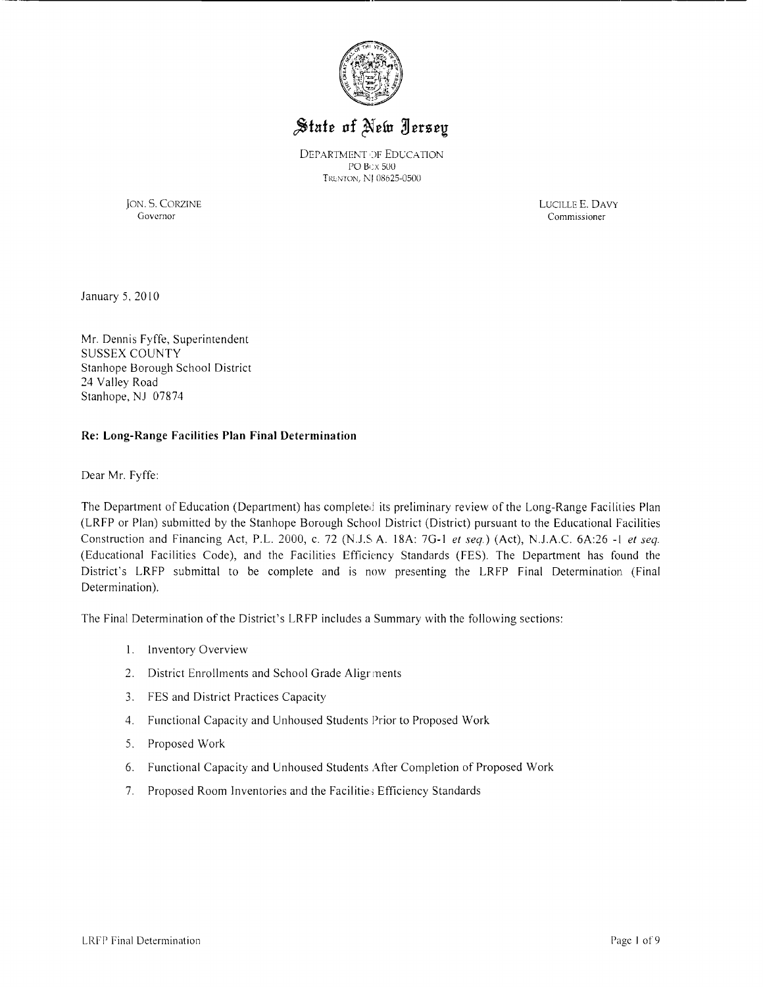

# State of New Jersey

DEPARTMENT OF EDUCATION PO B,;x 500 TRENTON, NI 08625-0500

JON. S. CORZINE LUCILLE E. DAVY Commissioner

January *5,* 20 I0

Mr. Dennis Fyffe, Superintendent SUSSEX COUNTY Stanhope Borough School District 24 Valley Road Stanhope, NJ 07874

#### **Re: Long-Range Facilities Plan Final Determination**

Dear Mr. Fyffe:

The Department of Education (Department) has completed its preliminary review of the Long-Range Facilities Plan (LRFP or Plan) submitted by the Stanhope Borough School District (District) pursuant to the Educational Facilities Construction and Financing Act, P.L. 2000, c. 72 (N.J.S A. 18A: 7G-I *et seq.)* (Act), N.J.A.C. 6A:26 -I *et seq.*  (Educational Facilities Code), and the Facilities Efficiency Standards (FES). The Department has found the District's LRFP submittal to be complete and is now presenting the LRFP Final Determination (Final Determination).

The Final Determination of the District's LRFP includes a Summary with the following sections:

- I. Inventory Overview
- 2. District Enrollments and School Grade Aligr ments
- 3. FES and District Practices Capacity
- 4. Functional Capacity and Unhoused Students Prior to Proposed Work
- *S.* Proposed Work
- 6. Functional Capacity and Unhoused Students After Completion of Proposed Work
- 7. Proposed Room Inventories and the Facilitie; Efficiency Standards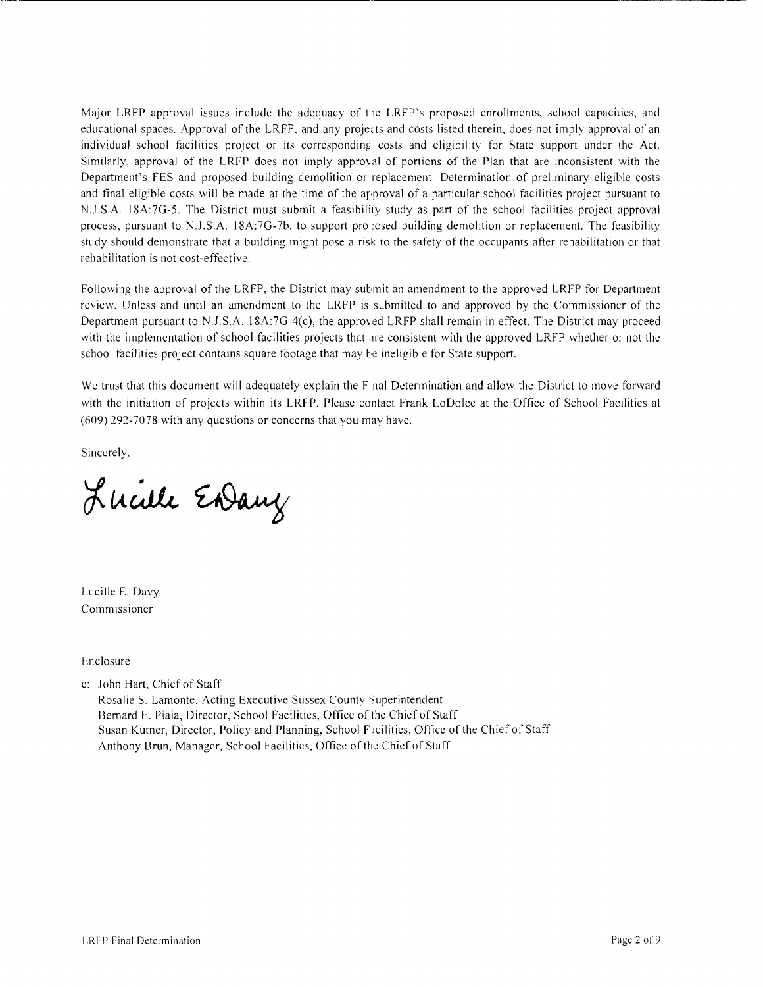Major LRFP approval issues include the adequacy of the LRFP's proposed enrollments, school capacities, and educational spaces. Approval of the LRFP, and any projects and costs listed therein, does not imply approval of an individual school facilities project or its corresponding costs and eligibility for State support under the Act. Similarly, approval of the LRFP does not imply approval of portions of the Plan that are inconsistent with the Department's FES and proposed building demolition or replacement. Determination of preliminary eligible costs and final eligible costs will be made at the time of the approval of a particular school facilities project pursuant to N.J.S.A. 18A:7G-5. The District must submit a feasibility study as part of the school facilities project approval process, pursuant to N.J.S.A. 18A:7G-7b, to support proposed building demolition or replacement. The feasibility study should demonstrate that a building might pose a risk to the safety of the occupants after rehabilitation or that rehabilitation is not cost-effective.

Following the approval of the LRFP, the District may submit an amendment to the approved LRFP for Department review. Unless and until an amendment to the LRFP is submitted to and approved by the Commissioner of the Department pursuant to N.J.S.A.  $18A:7G-4(c)$ , the approved LRFP shall remain in effect. The District may proceed with the implementation of school facilities projects that are consistent with the approved LRFP whether or not the school facilities project contains square footage that may be ineligible for State support.

We trust that this document will adequately explain the Final Determination and allow the District to move forward with the initiation of projects within its LRFP. Please contact Frank LoDolce at the Office of School Facilities at (609) 292-7078 with any questions or concerns that you may have.

Sincerely,

Lucille Endany

Lucille E. Davy Commissioner

Enclosure

c: John Hart, Chief of Staff

Rosalie S. Lamonte, Acting Executive Sussex County Superintendent Bernard E. Piaia, Director, School Facilities, Office of the Chief of Staff Susan Kutner, Director, Policy and Planning, School Facilities, Office of the Chief of Staff Anthony Brun, Manager, School Facilities, Office of the Chief of Staff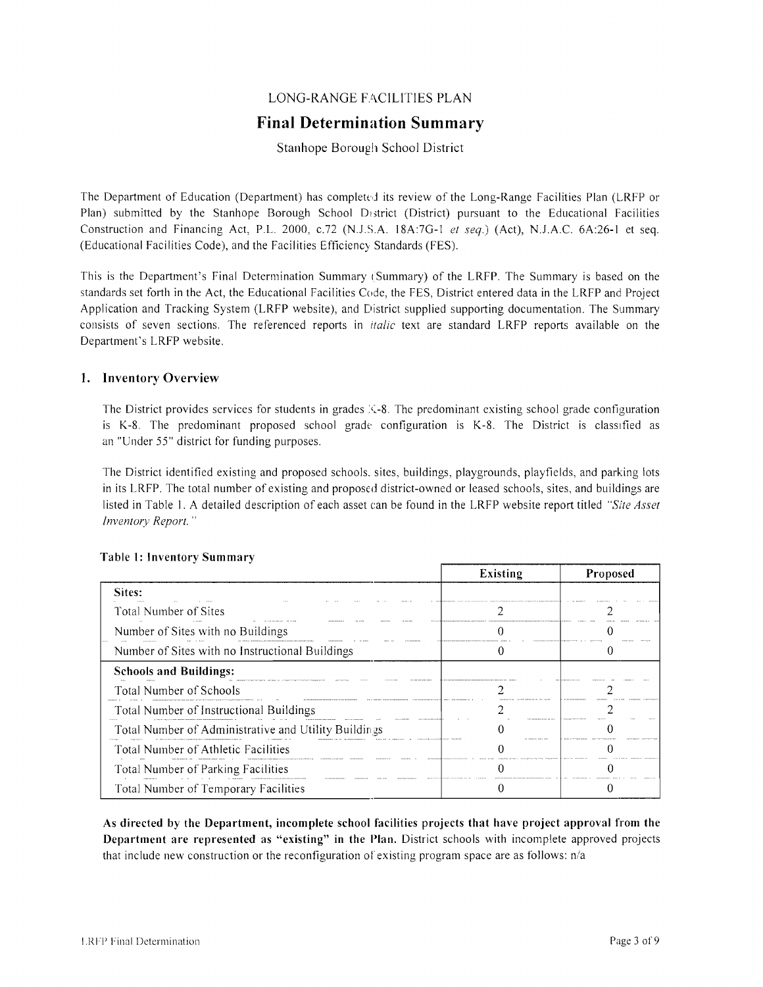# LONG-RANGE FACILITIES PLAN

# **Final Determination Summary**

# Stanhope Borough School District

The Department of Education (Department) has completed its review of the Long-Range Facilities Plan (LRFP or Plan) submitted by the Stanhope Borough School District (District) pursuant to the Educational Facilities Construction and Financing Act, P.L. 2000, *c.72* (N.J.S.A. 18A:7G-1 *et seq.*) (Act), N.J.A.C. 6A:26-1 et seq. (Educational Facilities Code), and the Facilities Efficiency Standards (FES).

This is the Department's Final Determination Summary (Summary) of the LRFP. The Summary is based on the standards set forth in the Act, the Educational Facilities Code, the FES, District entered data in the LRFP and Project Application and Tracking System (LRFP website), and District supplied supporting documentation. The Summary consists of seven sections. The referenced reports in *italic* text are standard LRFP reports available on the Department's LRFP website.

#### 1. Inventory Overview

The District provides services for students in grades  $\angle$ -8. The predominant existing school grade configuration is K-8. The predominant proposed school grade configuration is K-8. The District is classified as an "Under 55" district for funding purposes.

The District identified existing and proposed schools. sites, buildings, playgrounds, playfields, and parking lots in its LRFP. The total number of existing and proposed district-owned or leased schools, sites, and buildings are listed in Table 1. A detailed description of each asset can be found in the LRFP website report titled *"Site Asset Inventory Report. "* 

|                                                      | Existing | <b>Proposed</b> |
|------------------------------------------------------|----------|-----------------|
| Sites:                                               |          |                 |
| Total Number of Sites                                |          |                 |
| Number of Sites with no Buildings                    |          |                 |
| Number of Sites with no Instructional Buildings      |          |                 |
| <b>Schools and Buildings:</b>                        |          |                 |
| <b>Total Number of Schools</b>                       |          |                 |
| Total Number of Instructional Buildings              |          |                 |
| Total Number of Administrative and Utility Buildings |          |                 |
| Total Number of Athletic Facilities                  |          |                 |
| Total Number of Parking Facilities                   |          |                 |
| Total Number of Temporary Facilities                 |          |                 |

#### Table 1: Inventory Summary

As directed by the Department, incomplete school facilities projects that have project approval from the Department are represented as "existing" in the Plan. District schools with incomplete approved projects that include new construction or the reconfiguration of existing program space are as follows:  $n/a$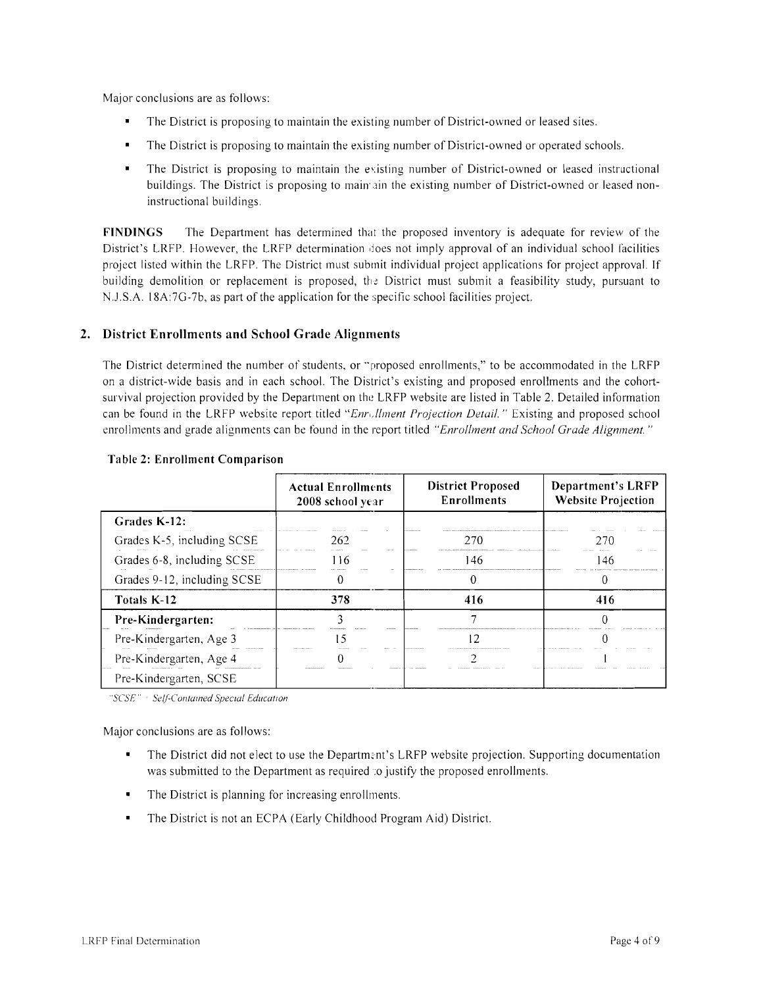Major conclusions are as follows:

- The District is proposing to maintain the existing number of District-owned or leased sites.
- $\blacksquare$ The District is proposing to maintain the existing number of District-owned or operated schools.
- The District is proposing to maintain the existing number of District-owned or leased instructional buildings. The District is proposing to maintain the existing number of District-owned or leased noninstructional buildings.

**FINDINGS** The Department has determined that the proposed inventory is adequate for review of the District's LRFP. However, the LRFP determination does not imply approval of an individual school lacilities project listed within the LRFP. The District must submit individual project applications for project approval. If building demolition or replacement is proposed, the District must submit a feasibility study, pursuant to N.J.S.A. 18A:7G-7b, as part of the application for the specific school facilities project.

# **2. District Enrollments and School Grade Alignments**

The District determined the number of students, or "proposed enrollments," to be accommodated in the LRFP on a district-wide basis and in each school. The District's existing and proposed enrollments and the cohortsurvival projection provided by the Department on the LRFP website are listed in Table 2. Detailed information can be found in the LRFP website report titled "Enrollment Projection Detail." Existing and proposed school enrollments and grade alignments can be found in the report titled *"Enrollment and School Grade Alignment. "* 

|                             | <b>Actual Enrollments</b><br>2008 school year | <b>District Proposed</b><br><b>Enrollments</b> | <b>Department's LRFP</b><br><b>Website Projection</b> |  |
|-----------------------------|-----------------------------------------------|------------------------------------------------|-------------------------------------------------------|--|
| Grades K-12:                |                                               |                                                |                                                       |  |
| Grades K-5, including SCSE  | 262                                           | 270                                            | 270                                                   |  |
| Grades 6-8, including SCSE  | 116                                           | 146                                            | 146                                                   |  |
| Grades 9-12, including SCSE |                                               |                                                |                                                       |  |
| Totals K-12                 | 378                                           | 416                                            | 416                                                   |  |
| Pre-Kindergarten:           |                                               |                                                |                                                       |  |
| Pre-Kindergarten, Age 3     |                                               | - 7                                            |                                                       |  |
| Pre-Kindergarten, Age 4     |                                               |                                                |                                                       |  |
| Pre-Kindergarten, SCSE      |                                               |                                                |                                                       |  |

#### **Table 2: Enrollment Comparison**

*"seSE* ,. *Selleontall1ed Specwi EducatIOn* 

- The District did not elect to use the Department's LRFP website projection. Supporting documentation was submitted to the Department as required: o justify the proposed enrollments.
- The District is planning for increasing enrollments.
- The District is not an ECPA (Early Childhood Program Aid) District.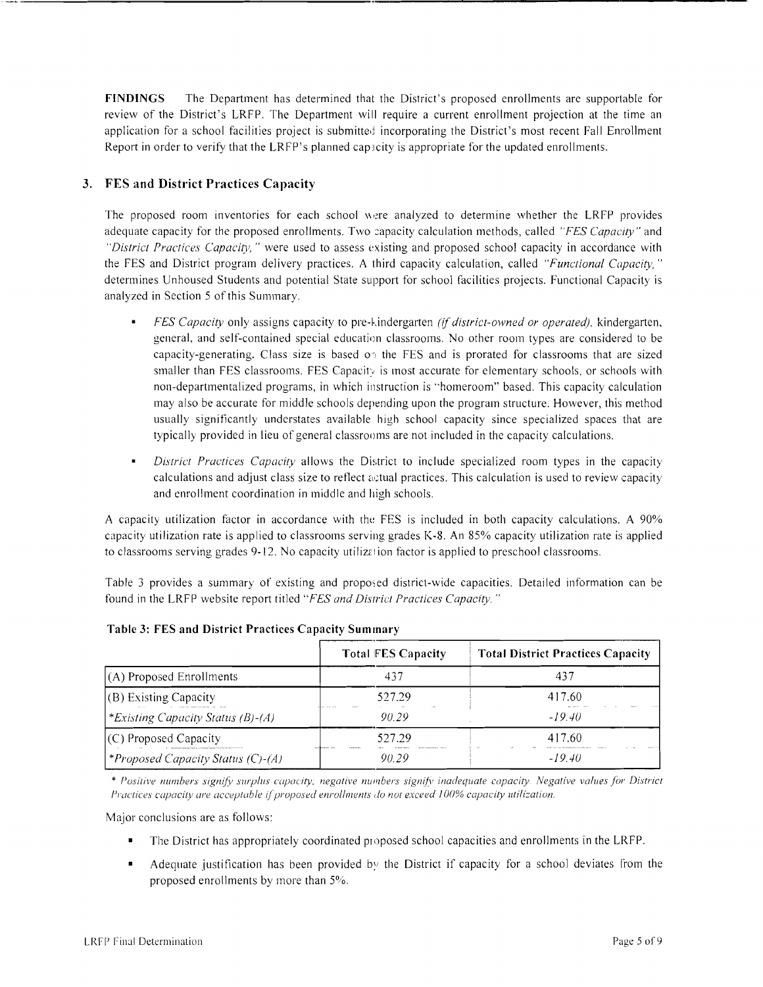FINDINGS The Department has determined that the District's proposed enrollments are supportable for review of the District's LRFP. The Department will require a current enrollment projection at the time an application for a school facilities project is submitted incorporating the District's most recent Fall Enrollment Report in order to verify that the LRFP's planned capacity is appropriate for the updated enrollments.

# 3. FES and District Practices Capacity

The proposed room inventories for each school were analyzed to determine whether the LRFP provides adequate capacity for the proposed enrollments. Two :apacity calculation methods, called *"FES Capacity"* and *"District Practices Capacity,"* were used to assess existing and proposed school capacity in accordance with the FES and District program delivery practices. A third capacity calculation, called *"Functional Capacity, "*  determines Unhoused Students and potential State support for school facilities projects. Functional Capacity is analyzed in Section 5 of this Summary.

- *FES Capacity* only assigns capacity to pre-kindergarten *(if district-owned or operated),* kindergarten, general, and self-contained special education classrooms. No other room types are considered to be capacity-generating. Class size is based 0', the FES and is prorated for classrooms that are sized smaller than FES classrooms. FES Capacity is most accurate for elementary schools, or schools with non-departmentalized programs, in which instruction is "homeroom" based. This capacity calculation may also be accurate for middle schools depending upon the program structure. However, this method usually signiticantly understates available high school capacity since specialized spaces that are typically provided in lieu of general classrooms are not included in the capacity calculations.
- *District Practices Capacity* allows the District to include specialized room types in the capacity calculations and adjust class size to reflect actual practices. This calculation is used to review capacity and enrollment coordination in middle and high schools.

A capacity utilization factor in accordance with the FES is included in both capacity calculations. A 90% capacity utilization rate is applied to classrooms serving grades K-8. An 85% capacity utilization rate is applied to classrooms serving grades 9-12. No capacity utilization factor is applied to preschool classrooms.

Table 3 provides a summary of existing and proposed district-wide capacities. Detailed information can be found in the LRFP website report titled *"FES and District Practices Capacity. "* 

|                                   | <b>Total FES Capacity</b> | <b>Total District Practices Capacity</b> |
|-----------------------------------|---------------------------|------------------------------------------|
| $(A)$ Proposed Enrollments        | 437                       | 437                                      |
| $(B)$ Existing Capacity           | 527.29                    | 417.60                                   |
| *Existing Capacity Status (B)-(A) | the arts the<br>90.29     | $-1940$                                  |
| $(C)$ Proposed Capacity           | 527.29                    | 417.60                                   |
| *Proposed Capacity Status (C)-(A) | 90.29                     | $-19.40$                                 |

Table 3: FES and District Practices Capacity Summary

\* Positive numbers signify surplus capacity; negative numbers signify inadequate capacity. Negative values for District *Practices capacity are acceptable if proposed enrollments do not exceed 100% capacity utilization.* 

- The District has appropriately coordinated proposed school capacities and enrollments in the LRFP.
- $\blacksquare$  Adequate justification has been provided by the District if capacity for a school deviates from the proposed enrollments by more than 5%.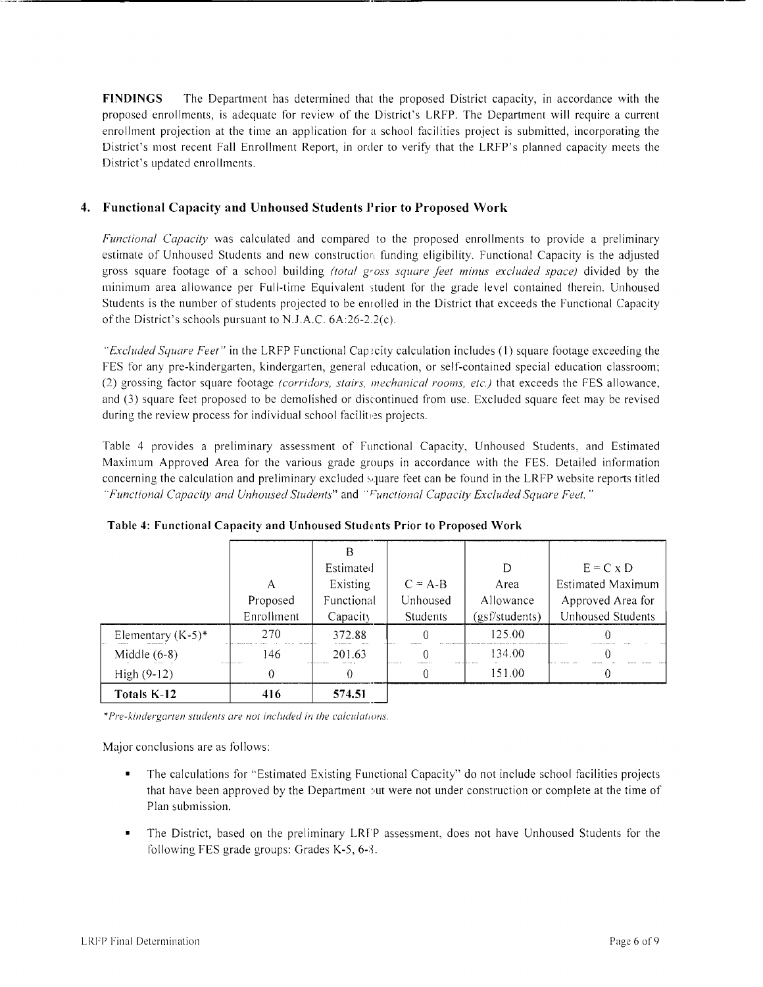**FINDINGS** The Department has determined that the proposed District capacity, in accordance with the proposed enrollments, is adequate for review of the District's LRFP. The Department will require a current enrollment projection at the time an application for a school facilities project is submitted, incorporating the District's most recent Fall Enrollment Report, in order to verify that the LRFP's planned capacity meets the District's updated enrollments.

# **4. Functional Capacity and Unhoused Students Jlrior to Proposed Work**

*Functional Capacity* was calculated and compared to the proposed enrollments to provide a preliminary estimate of Unhoused Students and new construction funding eligibility. Functional Capacity is the adjusted gross square footage of a school building *(total gross square feet minus excluded space)* divided by the minimum area allowance per Full-time Equivalent student for the grade level contained therein. Unhoused Students is the number of students projected to be enrolled in the District that exceeds the Functional Capacity of the District's schools pursuant to N.J.A.C. 6A:26-2.2(c).

*"Excluded Square Feet"* in the LRFP Functional Capecity calculation includes (1) square footage exceeding the FES for any pre-kindergarten, kindergarten, general education, or self-contained special education classroom; (2) grossing factor square footage *(corridors, stairs, mechanical rooms, etc.)* that exceeds the FES allowance, and (3) square feet proposed to be demolished or discontinued from use. Excluded square feet may be revised during the review process for individual school facilites projects.

Table 4 provides a preliminary assessment of Functional Capacity, Unhoused Students, and Estimated Maximum Approved Area for the various grade groups in accordance with the FES. Detailed information concerning the calculation and preliminary excluded square feet can be found in the LRFP website reports titled *"Functional Capacity and Unhoused Students"* and "I~unctional *Capacity Excluded Square Feet. "* 

|                      |            | B          |                 |                |                   |
|----------------------|------------|------------|-----------------|----------------|-------------------|
|                      |            | Estimated  |                 | D              | $E = C \times D$  |
|                      | А          | Existing   | $C = A-B$       | Area           | Estimated Maximum |
|                      | Proposed   | Functional | Unhoused        | Allowance      | Approved Area for |
|                      | Enrollment | Capacity   | <b>Students</b> | (gsf/students) | Unhoused Students |
| Elementary $(K-5)^*$ | 270        | 372.88     | $\theta$        | 125.00         |                   |
| Middle $(6-8)$       | 146        | 201.63     |                 | 134.00         |                   |
| $High (9-12)$        | 0          |            | 0               | 151.00.        |                   |
| Totals K-12          | 416        | 574.51     |                 |                |                   |

**Table 4: Functional Capacity and Unhoused Students Prior to Proposed Work** 

*\*Pre-kindergarten students are not included in the calculations.* 

- The calculations for "Estimated Existing Functional Capacity" do not include school facilities projects that have been approved by the Department put were not under construction or complete at the time of Plan submission.
- The District, based on the preliminary LRFP assessment, does not have Unhoused Students for the following FES grade groups: Grades  $K-5$ , 6-8.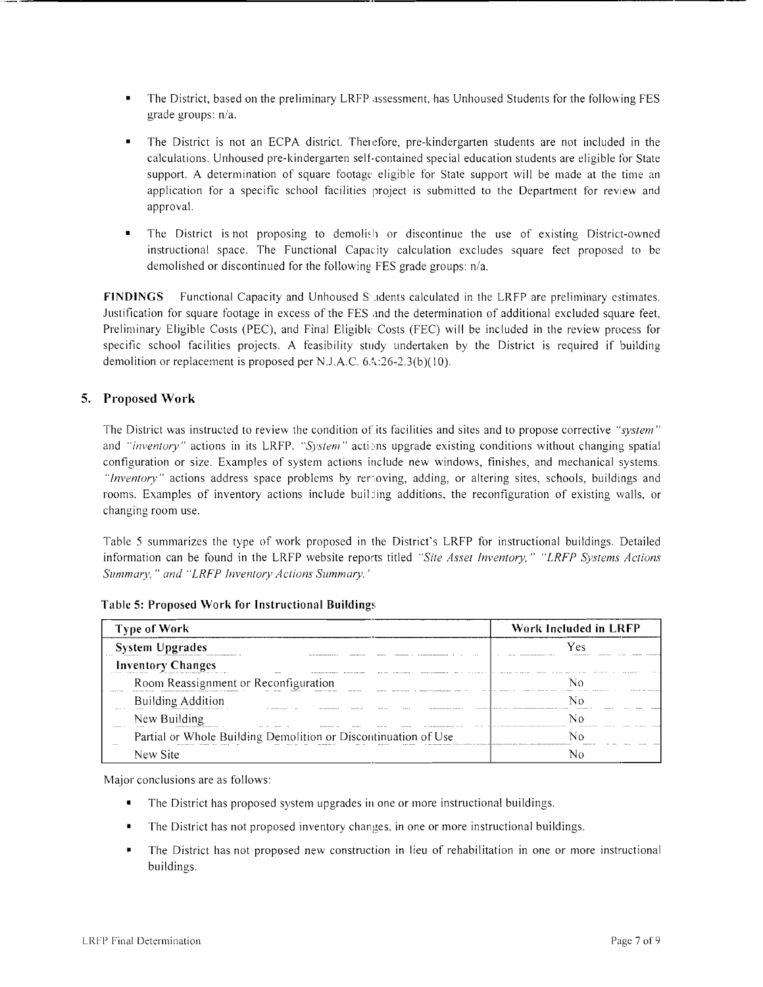- The District, based on the preliminary LRFP assessment, has Unhoused Students for the following FES grade groups: n/a.
- The District is not an ECPA district. Therefore, pre-kindergarten students are not included in the calculations. Unhoused pre-kindergarten self-contained special education students are eligible for State support. A determination of square footage eligible for State support will be made at the time an application for a specific school facilities project is submitted to the Department for review and approval.
- The District is not proposing to demolish or discontinue the use of existing District-owned instructional space. The Functional Capacity calculation excludes square feet proposed to be demolished or discontinued for the following FES grade groups: n/a.

**FINDINGS** Functional Capacity and Unhoused S .dents calculated in the LRFP are preliminary estimates. Justification for square footage in excess of the FES and the determination of additional excluded square feet, Preliminary Eligible Costs (PEC), and Final Eligible Costs (FEC) will be included in the review process for specific school facilities projects. A feasibility study undertaken by the District is required if building demolition or replacement is proposed per N.J .A.C. 6A:26-2.3(b)( 10).

# **5. Proposed Work**

The District was instructed to review the condition 01' its facilities and sites and to propose corrective *"system"*  and *"inventory"* actions in its LRFP. *"System"* actions upgrade existing conditions without changing spatial configuration or size. Examples of system actions include new windows, finishes, and mechanical systems. *"Inventory"* actions address space problems by removing, adding, or altering sites, schools, buildings and rooms. Examples of inventory actions include buil ling additions, the reconfiguration of existing walls, or changing room use.

Table 5 summarizes the type of work proposed in the District's LRFP for instructional buildings. Detailed information can be found in the LRFP website reports titled *"Site Asset Inventory," "LRFP Systems Actions Summary," and "LRFP Inventory Actions Summary.'* 

| <b>Type of Work</b>                                            | Work Included in LRFP    |
|----------------------------------------------------------------|--------------------------|
| <b>System Upgrades</b>                                         |                          |
| <b>Inventory Changes</b>                                       |                          |
| Room Reassignment or Reconfiguration<br>.                      | $$ Econol ab descens<br> |
| <b>Building Addition</b><br><b>ANALAS AS</b><br>10001000<br>   |                          |
| New Building<br>1315151-14<br><br>                             |                          |
| Partial or Whole Building Demolition or Discontinuation of Use |                          |
| New Site                                                       |                          |

#### **Table 5: Proposed Work for Instructional Building,:**

- The District has proposed system upgrades in one or more instructional buildings.
- The District has not proposed inventory changes. in one or more instructional buildings.
- The District has not proposed new construction in lieu of rehabilitation in one or more instructional buildings.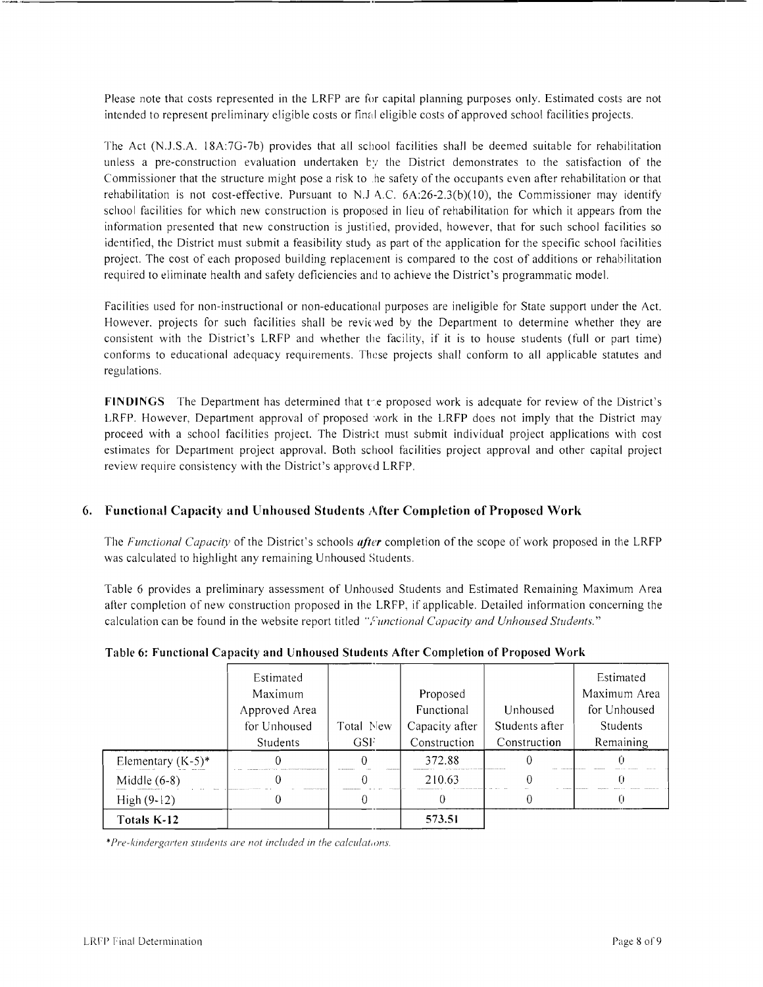Please note that costs represented in the LRFP are for capital planning purposes only. Estimated costs are not intended to represent preliminary eligible costs or final eligible costs of approved school facilities projects.

The Act (N.J.S.A. 18A:7G-7b) provides that all school facilities shall be deemed suitable for rehabilitation unless a pre-construction evaluation undertaken by the District demonstrates to the satisfaction of the Commissioner that the structure might pose a risk to .he safety of the occupants even after rehabilitation or that rehabilitation is not cost-effective. Pursuant to N.J A.C.  $6A:26-2.3(b)(10)$ , the Commissioner may identify school facilities for which new construction is proposed in lieu of rehabilitation for which it appears from the information presented that new construction is justilied, provided, however, that for such school facilities so identified, the District must submit a feasibility study as part of the application for the specific school facilities project. The cost of each proposed building replacement is compared to the cost of additions or rehabilitation required to eliminate health and safety deficiencies and to achieve the District's programmatic model.

Facilities used for non-instructional or non-educational purposes are ineligible for State support under the Act. However, projects for such facilities shall be reviewed by the Department to determine whether they are consistent with the District's LRFP and whether the facility, if it is to house students (full or part time) conforms to educational adequacy requirements. These projects shall conform to all applicable statutes and regulations.

**FINDINGS** The Department has determined that the proposed work is adequate for review of the District's LRFP. However, Department approval of proposed work in the LRFP does not imply that the District may proceed with a school facilities project. The District must submit individual project applications with cost estimates for Department project approval. Both school facilities project approval and other capital project review require consistency with the District's approved LRFP.

# 6. Functional Capacity and Unhoused Students After Completion of Proposed Work

The *Flinctional Capacity* of the District's schools *after* completion of the scope of work proposed in the LRFP was calculated to highlight any remaining Unhoused Students.

Table 6 provides a preliminary assessment of Unhoused Students and Estimated Remaining Maximum Area after completion of new construction proposed in the LRFP, if applicable. Detailed information concerning the calculation can be found in the website report titled *"Functional Capacity and Unhoused Students."* 

|                      | Estimated     |            |                |                | Estimated    |
|----------------------|---------------|------------|----------------|----------------|--------------|
|                      | Maximum       |            | Proposed       |                | Maximum Area |
|                      | Approved Area |            | Functional     | Unhoused       | for Unhoused |
|                      | for Unhoused  | Total New  | Capacity after | Students after | Students     |
|                      | Students      | <b>GSF</b> | Construction   | Construction   | Remaining    |
| Elementary $(K-5)^*$ |               |            | 372.88         |                |              |
| Middle $(6-8)$       |               |            | 210.63         |                |              |
| $High (9-12)$        |               |            |                |                |              |
| Totals K-12          |               |            | 573.51         |                |              |

# Table 6: Functional Capacity and Unhoused Students After Completion of Proposed Work

\*Pre-kindergarten students are not included in the calculations.